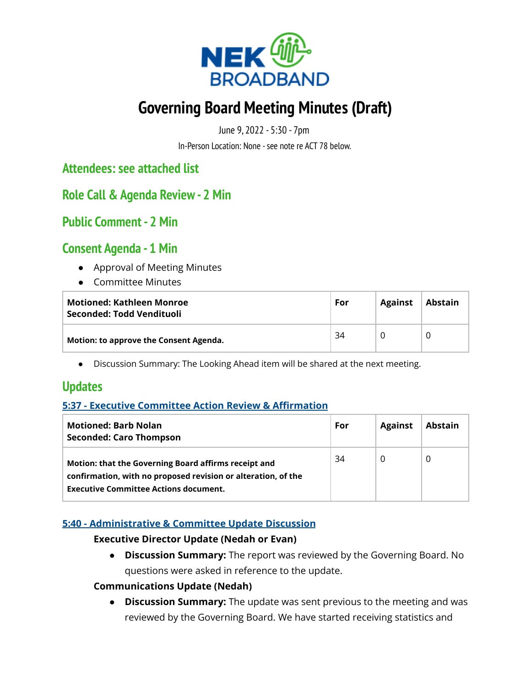

# **Governing Board Meeting Minutes (Draft)**

June 9, 2022 - 5:30 - 7pm

In-Person Location: None - see note re ACT 78 below.

**Attendees: see attached list**

**Role Call & Agenda Review- 2 Min**

**Public Comment - 2 Min**

# **Consent Agenda - 1 Min**

- Approval of Meeting Minutes
- Committee Minutes

| Motioned: Kathleen Monroe<br>Seconded: Todd Vendituoli | For | <b>Against</b> | Abstain |  |
|--------------------------------------------------------|-----|----------------|---------|--|
| Motion: to approve the Consent Agenda.                 | 34  |                |         |  |

● Discussion Summary: The Looking Ahead item will be shared at the next meeting.

# **Updates**

## **5:37 - Executive Committee Action Review & Affirmation**

| <b>Motioned: Barb Nolan</b><br><b>Seconded: Caro Thompson</b>                                                                                                         | For | <b>Against</b> | <b>Abstain</b> |
|-----------------------------------------------------------------------------------------------------------------------------------------------------------------------|-----|----------------|----------------|
| Motion: that the Governing Board affirms receipt and<br>confirmation, with no proposed revision or alteration, of the<br><b>Executive Committee Actions document.</b> | 34  | $\Omega$       | 0              |

## **5:40 - Administrative & Committee Update Discussion**

#### **Executive Director Update (Nedah or Evan)**

● **Discussion Summary:** The report was reviewed by the Governing Board. No questions were asked in reference to the update.

#### **Communications Update (Nedah)**

● **Discussion Summary:** The update was sent previous to the meeting and was reviewed by the Governing Board. We have started receiving statistics and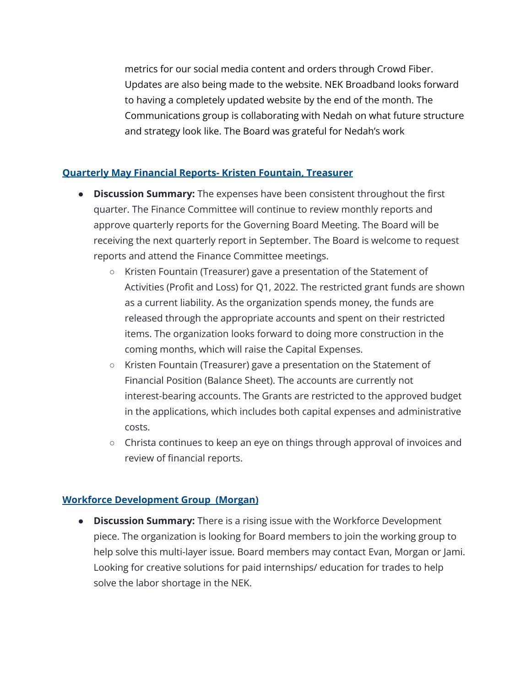metrics for our social media content and orders through Crowd Fiber. Updates are also being made to the website. NEK Broadband looks forward to having a completely updated website by the end of the month. The Communications group is collaborating with Nedah on what future structure and strategy look like. The Board was grateful for Nedah's work

### **Quarterly May Financial Reports- Kristen Fountain, Treasurer**

- **● Discussion Summary:** The expenses have been consistent throughout the first quarter. The Finance Committee will continue to review monthly reports and approve quarterly reports for the Governing Board Meeting. The Board will be receiving the next quarterly report in September. The Board is welcome to request reports and attend the Finance Committee meetings.
	- **○** Kristen Fountain (Treasurer) gave a presentation of the Statement of Activities (Profit and Loss) for Q1, 2022. The restricted grant funds are shown as a current liability. As the organization spends money, the funds are released through the appropriate accounts and spent on their restricted items. The organization looks forward to doing more construction in the coming months, which will raise the Capital Expenses.
	- Kristen Fountain (Treasurer) gave a presentation on the Statement of Financial Position (Balance Sheet). The accounts are currently not interest-bearing accounts. The Grants are restricted to the approved budget in the applications, which includes both capital expenses and administrative costs.
	- Christa continues to keep an eye on things through approval of invoices and review of financial reports.

## **Workforce Development Group (Morgan)**

**● Discussion Summary:** There is a rising issue with the Workforce Development piece. The organization is looking for Board members to join the working group to help solve this multi-layer issue. Board members may contact Evan, Morgan or Jami. Looking for creative solutions for paid internships/ education for trades to help solve the labor shortage in the NEK.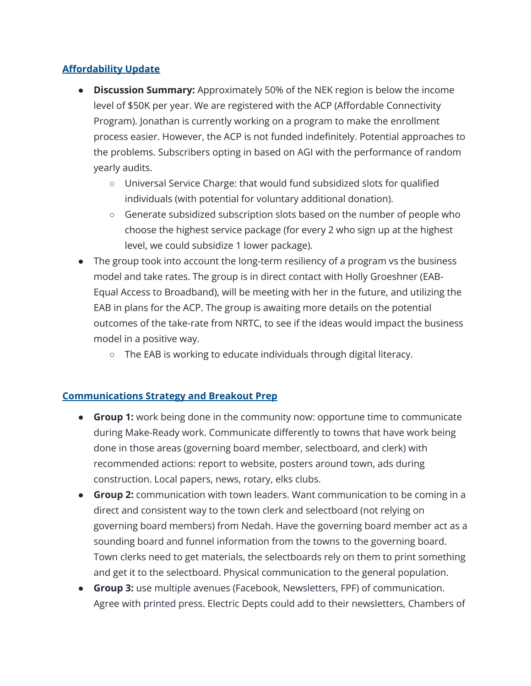## **Affordability Update**

- **● Discussion Summary:** Approximately 50% of the NEK region is below the income level of \$50K per year. We are registered with the ACP (Affordable Connectivity Program). Jonathan is currently working on a program to make the enrollment process easier. However, the ACP is not funded indefinitely. Potential approaches to the problems. Subscribers opting in based on AGI with the performance of random yearly audits.
	- **○** Universal Service Charge: that would fund subsidized slots for qualified individuals (with potential for voluntary additional donation).
	- Generate subsidized subscription slots based on the number of people who choose the highest service package (for every 2 who sign up at the highest level, we could subsidize 1 lower package).
- The group took into account the long-term resiliency of a program vs the business model and take rates. The group is in direct contact with Holly Groeshner (EAB-Equal Access to Broadband), will be meeting with her in the future, and utilizing the EAB in plans for the ACP. The group is awaiting more details on the potential outcomes of the take-rate from NRTC, to see if the ideas would impact the business model in a positive way.
	- The EAB is working to educate individuals through digital literacy.

#### **Communications Strategy and Breakout Prep**

- **● Group 1:** work being done in the community now: opportune time to communicate during Make-Ready work. Communicate differently to towns that have work being done in those areas (governing board member, selectboard, and clerk) with recommended actions: report to website, posters around town, ads during construction. Local papers, news, rotary, elks clubs.
- **● Group 2:** communication with town leaders. Want communication to be coming in a direct and consistent way to the town clerk and selectboard (not relying on governing board members) from Nedah. Have the governing board member act as a sounding board and funnel information from the towns to the governing board. Town clerks need to get materials, the selectboards rely on them to print something and get it to the selectboard. Physical communication to the general population.
- **● Group 3:** use multiple avenues (Facebook, Newsletters, FPF) of communication. Agree with printed press. Electric Depts could add to their newsletters, Chambers of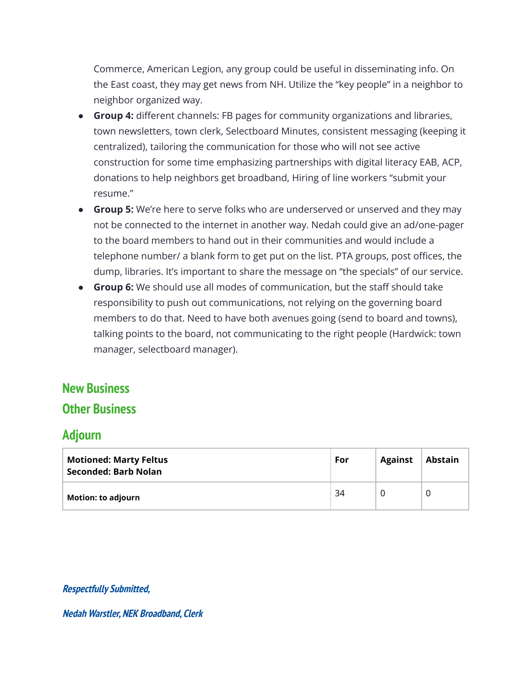Commerce, American Legion, any group could be useful in disseminating info. On the East coast, they may get news from NH. Utilize the "key people" in a neighbor to neighbor organized way.

- **● Group 4:** different channels: FB pages for community organizations and libraries, town newsletters, town clerk, Selectboard Minutes, consistent messaging (keeping it centralized), tailoring the communication for those who will not see active construction for some time emphasizing partnerships with digital literacy EAB, ACP, donations to help neighbors get broadband, Hiring of line workers "submit your resume."
- **● Group 5:** We're here to serve folks who are underserved or unserved and they may not be connected to the internet in another way. Nedah could give an ad/one-pager to the board members to hand out in their communities and would include a telephone number/ a blank form to get put on the list. PTA groups, post offices, the dump, libraries. It's important to share the message on "the specials" of our service.
- **● Group 6:** We should use all modes of communication, but the staff should take responsibility to push out communications, not relying on the governing board members to do that. Need to have both avenues going (send to board and towns), talking points to the board, not communicating to the right people (Hardwick: town manager, selectboard manager).

# **New Business**

# **Other Business**

# **Adjourn**

| <b>Motioned: Marty Feltus</b><br><b>Seconded: Barb Nolan</b> | For | <b>Against</b> | Abstain |
|--------------------------------------------------------------|-----|----------------|---------|
| <b>Motion: to adjourn</b>                                    | 34  |                | 0       |

#### **Respectfully Submitted,**

**Nedah Warstler, NEK Broadband, Clerk**